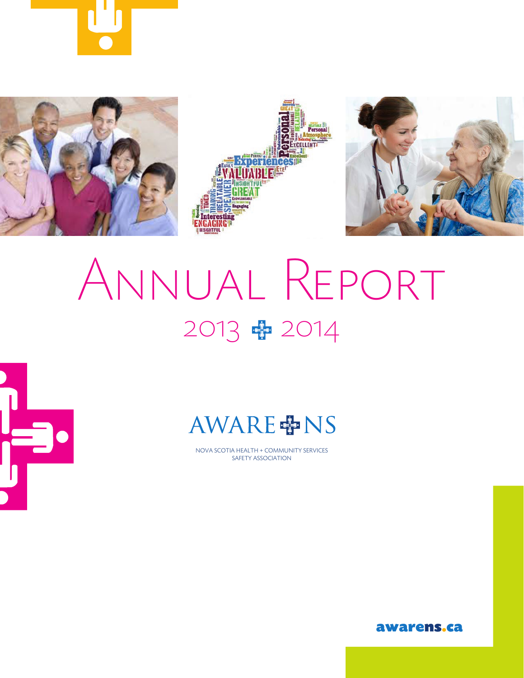







# Annual Report 2013 + 2014



## **AWARE 中NS**

NOVA SCOTIA HEALTH + COMMUNITY SERVICES SAFETY ASSOCIATION

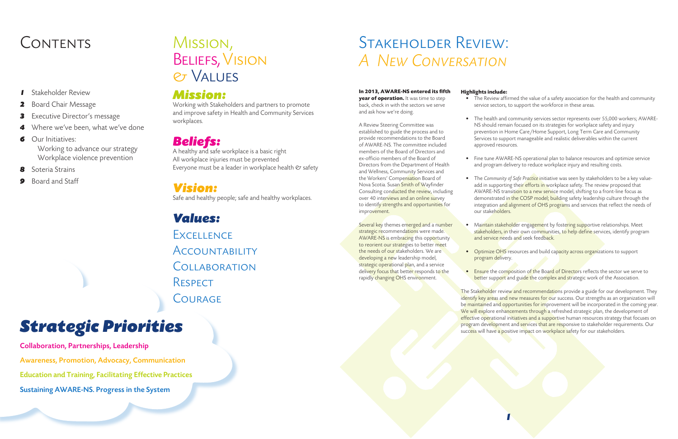## CONTENTS MISSION. STAKEHOLDER REVIEW: *A New Conversation*

### **In 2013, AWARE-NS entered its fifth**

**year of operation.** It was time to step back, check in with the sectors we serve and ask how we're doing.

A Review Steering Committee was established to guide the process and to provide recommendations to the Board of AWARE-NS. The committee included members of the Board of Directors and ex-officio members of the Board of Directors from the Department of Health and Wellness, Community Services and the Workers' Compensation Board of Nova Scotia. Susan Smith of Wayfinder Consulting conducted the review, including over 40 interviews and an online survey to identify strengths and opportunities for improvement.

Several key themes emerged and a number strategic recommendations were made. AWARE-NS is embracing this opportunity to reorient our strategies to better meet the needs of our stakeholders. We are developing a new leadership model, strategic operational plan, and a service delivery focus that better responds to the rapidly changing OHS environment.

### **Highlights include:**

• The Review affirmed the value of a safety association for the health and community service sectors, to support the workforce in these areas.

• The health and community services sector represents over 55,000 workers; AWARE- NS should remain focused on its strategies for workplace safety and injury prevention in Home Care/Home Support, Long Term Care and Community Services to support manageable and realistic deliverables within the current approved resources.

• Fine tune AWARE-NS operational plan to balance resources and optimize service and program delivery to reduce workplace injury and resulting costs.

A healthy and safe workplace is a basic right All workplace injuries must be prevented Everyone must be a leader in workplace health  $e$  safety

> • The *Community of Safe Practice* initiative was seen by stakeholders to be a key valueadd in supporting thei<mark>r efforts in</mark> workplace safety. The review proposed that AWARE-NS transition to a new service model, shifting to a front-line focus as demonstrated in the COSP model; building safety leadership culture through the integration and alignment of OHS programs and services that reflect the needs of

Maintain stakeholder engagement by fostering supportive relationships. Meet stakeholders, in their own communities, to help define services, identify program and service needs and seek feedback.

• Optimize OHS resources and build capacity across organizations to support

• Ensure the composition of the Board of Directors reflects the sector we serve to better support and guide the complex and strategic work of the Association.

- 
- 
- our stakeholders.
- 
- program delivery.
- 

The Stakeholder review and recommendations provide a guide for our development. They identify key areas and new measures for our success. Our strengths as an organization will be maintained and opportunities for improvement will be incorporated in the coming year. We will explore enhancements through a refreshed strategic plan, the development of effective operational initiatives and a supportive human resources strategy that focuses on program development and services that are responsive to stakeholder requirements. Our success will have a positive impact on workplace safety for our stakeholders.

- *1* Stakeholder Review
- *2* Board Chair Message
- *3* Executive Director's message
- *4* Where we've been, what we've done
- *6* Our Initiatives:

 Working to advance our strategy Workplace violence prevention

- *8* Soteria Strains
- *9* Board and Staff

## Mission, Beliefs, Vision & Values

### *Mission:*

Working with Stakeholders and partners to promote and improve safety in Health and Community Services workplaces.

## *Beliefs:*

## *Vision:*

Safe and healthy people; safe and healthy workplaces.

## *Values:*

**EXCELLENCE ACCOUNTABILITY COLLABORATION RESPECT COURAGE** 

## *Strategic Priorities*

Collaboration, Partnerships, Leadership Awareness, Promotion, Advocacy, Communication Education and Training, Facilitating Effective Practices Sustaining AWARE-NS. Progress in the System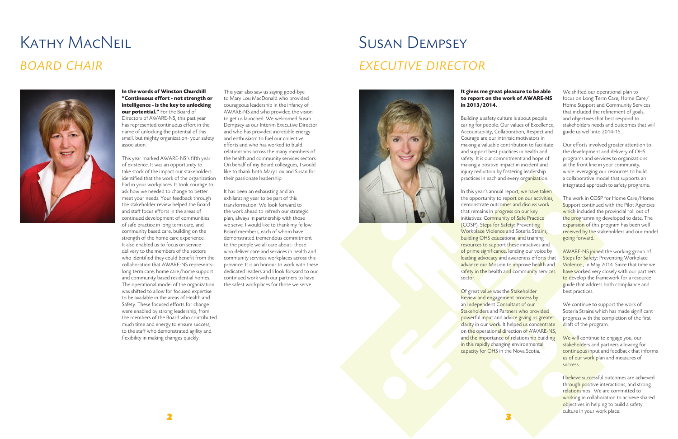#### **It gives me great pleasure to be able to report on the work of AWARE-NS**

Building a safety culture is about people caring for people. Our values of Excellence, Accountability, Collaboration, Respect and Courage are our intrinsic motivators in making a valuable contribution to facilitate and support best practices in health and safety. It is our commitment and hope of making a positive impact in incident and injury reduction by fostering leadership practices in each and every organization.

## **in 2013/2014.**

In this year's annual report, we have taken the opportunity to report on our activities, demonstrate outcomes and discuss work that remains in progress on our key initiatives: Community of Safe Practice (COSP), Steps for Safety: Preventing Workplace Violence and Soteria Strains; building OHS educational and training resources to support these initiatives and of prime significance, lending our voice by leading advocacy and awareness efforts that advance our Mission to improve health and safety in the health and community services sector.

Of great value was the Stakeholder Review and engagement process by an Independent Consultant of our Stakeholders and Partners who provided powerful input and advice giving us greater clarity in our work. It helped us concentrate on the operational direction of AWARE-NS, and the importance of relationship building in this rapidly changing environmental capacity for OHS in the Nova Scotia.

We will continue to engage you, our stakeholders and partners allowing for continuous input and feedback that informs us of our work plan and measures of success.

We shifted our operational plan to focus on Long Term Care, Home Care/ Home Support and Community Services that included the refinement of goals, and objectives that best respond to stakeholders needs and outcomes that will guide us well into 2014-15.

Our efforts involved greater attention to the development and delivery of OHS programs and services to organizations at the front line in your community, while leveraging our resources to build a collaborative model that supports an integrated approach to safety programs.

The work in COSP for Home Care/Home Support continued with the Pilot Agencies which included the provincial roll out of the programming developed to date. The expansion of this program has been well received by the stakeholders and our model going forward.

AWARE-NS joined the working group of Steps for Safety: Preventing Workplace Violence , in May 2014. Since that time we have worked very closely with our partners to develop the framework for a resource guide that address both compliance and best practices.

We continue to support the work of Soteria Strains which has made significant progress with the completion of the first draft of the program.

I believe successful outcomes are achieved through positive interactions, and strong relationships . We are committed to working in collaboration to achieve shared objectives in helping to build a safety culture in your work place.

# Susan Dempsey *executive director*



# Kathy MacNeil *board chair*



**In the words of Winston Churchill "Continuous effort - not strength or intelligence - is the key to unlocking our potential."** For the Board of Directors of AWARE-NS, this past year has represented continuous effort in the name of unlocking the potential of this small, but mighty organization- your safety association.

This year marked AWARE-NS's fifth year of existence. It was an opportunity to take stock of the impact our stakeholders identified that the work of the organization had in your workplaces. It took courage to ask how we needed to change to better meet your needs. Your feedback through the stakeholder review helped the Board and staff focus efforts in the areas of continued development of communities of safe practice in long term care, and community based care, building on the strength of the home care experience. It also enabled us to focus on service delivery to the members of the sectors who identified they could benefit from the collaboration that AWARE-NS representslong term care, home care/home support and community based residential homes. The operational model of the organization was shifted to allow for focused expertise to be available in the areas of Health and Safety. These focused efforts for change were enabled by strong leadership, from the members of the Board who contributed much time and energy to ensure success, to the staff who demonstrated agility and flexibility in making changes quickly.

This year also saw us saying good-bye to Mary Lou MacDonald who provided courageous leadership in the infancy of AWARE-NS and who provided the vision to get us launched. We welcomed Susan Dempsey as our Interim Executive Director and who has provided incredible energy and enthusiasm to fuel our collective efforts and who has worked to build relationships across the many members of the health and community services sectors. On behalf of my Board colleagues, I would like to thank both Mary Lou and Susan for their passionate leadership.

It has been an exhausting and an exhilarating year to be part of this transformation. We look forward to the work ahead to refresh our strategic plan, always in partnership with those we serve. I would like to thank my fellow Board members, each of whom have demonstrated tremendous commitment to the people we all care about- those who deliver care and services in health and community services workplaces across this province. It is an honour to work with these dedicated leaders and I look forward to our continued work with our partners to have the safest workplaces for those we serve.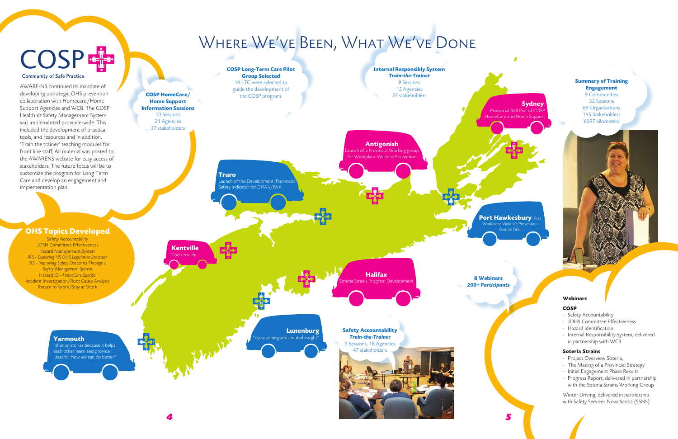### **Summary of Training Engagement**

9 Communities 32 Sessions 69 Organizations 165 Stakeholders 6097 kilometers

*4 5*

**Sydney**:

**Port Hawkesbury: First** Workplace Violence Prever Session held



#### **Webinars**

#### **COSP**

- Safety Accountability
- JOHS Committee Effectiveness
- Hazard Identification
- Internal Responsibility System, delivered in partnership with WCB

#### **Soteria Strains**

- Project Overview Soteria,
- The Making of a Provincial Strategy
- Initial Engagement Phase Results
- Progress Report, delivered in partnership with the Soteria Strains Working Group

Winter Driving, delivered in partnership with Safety Services Nova Scotia (SSNS)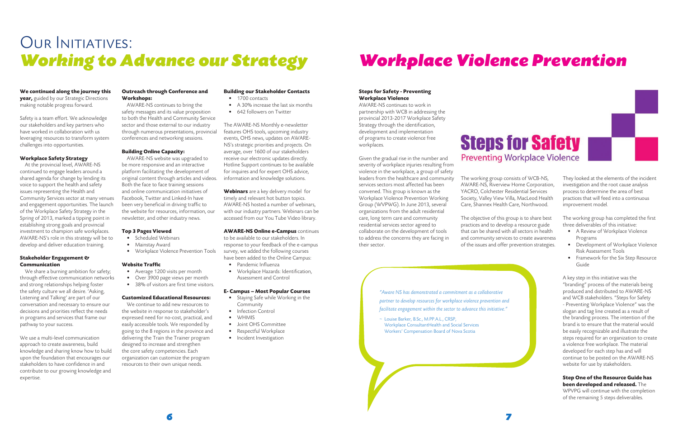#### **Steps for Safety - Preventing Workplace Violence**

AWARE-NS continues to work in partnership with WCB in addressing the provincial 2013-2017 Workplace Safety Strategy through the identification, development and implementation of programs to create violence free workplaces.

Given the gradual rise in the number and

severity of workplace injuries resulting from violence in the workplace, a group of safety leaders from the healthcare and community services sectors most affected has been convened. This group is known as the Workplace Violence Prevention Working Group (WVPWG). In June 2013, several organizations from the adult residential care, long term care and community residential services sector agreed to collaborate on the development of tools to address the concerns they are facing in

## OUR INITIATIVES: *Working to Advance our Strategy*

their sector.

The working group consists of WCB-NS, AWARE-NS, Riverview Home Corporation, YACRO, Colchester Residential Services Society, Valley View Villa, MacLeod Health Care, Shannex Health Care, Northwood.



The objective of this group is to share best practices and to develop a resource guide that can be shared with all sectors in health and community services to create awareness of the issues and offer prevention strategies.

### **We continued along the journey this**

**year,** guided by our Strategic Directions making notable progress forward.

Safety is a team effort. We acknowledge our stakeholders and key partners who have worked in collaboration with us leveraging resources to transform system challenges into opportunities.

#### **Workplace Safety Strategy**

- Average 1200 visits per month
- Over 3900 page views per month
- 38% of visitors are first time visitors.

At the provincial level, AWARE-NS continued to engage leaders around a shared agenda for change by lending its voice to support the health and safety issues representing the Health and Community Services sector at many venues and engagement opportunities. The launch of the Workplace Safety Strategy in the Spring of 2013, marked a tipping point in establishing strong goals and provincial investment to champion safe workplaces. AWARE-NS's role in this strategy will be to develop and deliver education training.

#### **Stakeholder Engagement & Communication**

We share a burning ambition for safety; through effective communication networks and strong relationships helping foster the safety culture we all desire. 'Asking, Listening and Talking' are part of our conversation and necessary to ensure our decisions and priorities reflect the needs in programs and services that frame our pathway to your success.

- Staying Safe while Working in the Community
- Infection Control
- WHMIS
- Joint OHS Committee
- Respectful Workplace
- Incident Investigation

We use a multi-level communication approach to create awareness, build knowledge and sharing know how to build upon the foundation that encourages our stakeholders to have confidence in and contribute to our growing knowledge and expertise.

#### **Outreach through Conference and Workshops:**

AWARE-NS continues to bring the safety messages and its value proposition to both the Health and Community Service sector and those external to our industry through numerous presentations, provincial conferences and networking sessions.

#### **Building Online Capacity:**

AWARE-NS website was upgraded to be more responsive and an interactive platform facilitating the development of original content through articles and videos. Both the face to face training sessions and online communication initiatives of Facebook, Twitter and Linked-In have been very beneficial in driving traffic to the website for resources, information, our newsletter, and other industry news.

#### **Top 3 Pages Viewed**

- Scheduled Webinars
- Mainstay Award
- Workplace Violence Prevention Tools

#### **Website Traffic**

#### **Customized Educational Resources:**

We continue to add new resources to the website in response to stakeholder's expressed need for no-cost, practical, and easily accessible tools. We responded by going to the 8 regions in the province and delivering the Train the Trainer program designed to increase and strengthen the core safety competencies. Each organization can customize the program resources to their own unique needs.

### **Building our Stakeholder Contacts**

- 1700 contacts
- A 30% increase the last six months
- 642 followers on Twitter

The AWARE-NS Monthly e-newsletter features OHS tools, upcoming industry events, OHS news, updates on AWARE-NS's strategic priorities and projects. On average, over 1600 of our stakeholders receive our electronic updates directly. Hotline Support continues to be available for inquires and for expert OHS advice, information and knowledge solutions.

**Webinars** are a key delivery model for timely and relevant hot button topics. AWARE-NS hosted a number of webinars, with our industry partners. Webinars can be accessed from our You Tube Video library.

#### **AWARE-NS Online e-Campus** continues

to be available to our stakeholders. In response to your feedback of the e-campus survey, we added the following courses have been added to the Online Campus:

- Pandemic Influenza
- Workplace Hazards: Identification, Assessment and Control

#### **E- Campus – Most Popular Courses**

*6 7*

## *Workplace Violence Prevention*

They looked at the elements of the incident investigation and the root cause analysis process to determine the area of best practices that will feed into a continuous improvement model.

The working group has completed the first three deliverables of this initiative:

- A Review of Workplace Violence Programs
- Development of Workplace Violence Risk Assessment Tools
- Framework for the Six Step Resource Guide

A key step in this initiative was the "branding" process of the materials being produced and distributed to AWARE-NS and WCB stakeholders. "Steps for Safety - Preventing Workplace Violence" was the slogan and tag line created as a result of the branding process. The intention of the brand is to ensure that the material would be easily recognizable and illustrate the steps required for an organization to create a violence free workplace. The material developed for each step has and will continue to be posted on the AWARE-NS website for use by stakeholders.

**Step One of the Resource Guide has been developed and released.** The WPVPG will continue with the completion of the remaining 5 steps deliverables.

*"Aware NS has demonstrated a commitment as a collaborative partner to develop resources for workplace violence prevention and facilitate engagement within the sector to advance this initiative."*

~ Louise Barker, B.Sc., M.PP.A.L., CRSP, Workplace ConsultantHealth and Social Services Workers' Compensation Board of Nova Scotia

## **Steps for Safety Preventing Workplace Violence**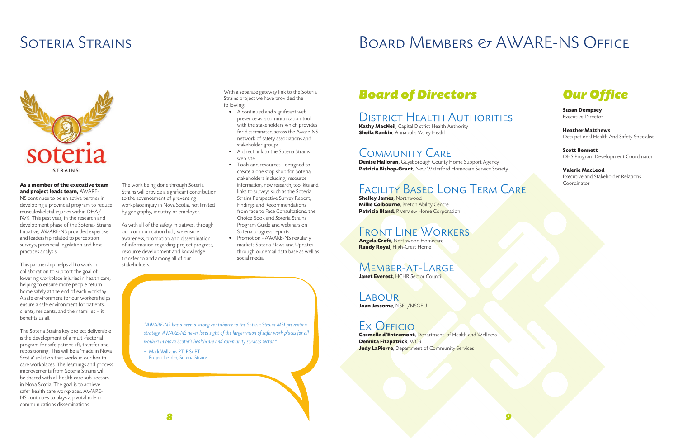## SOTERIA STRAINS BOARD MEMBERS & AWARE-NS OFFICE



## *Board of Directors*

**Kathy MacNeil**, Capital District Health Authority **Sheila Rankin**, Annapolis Valley Health

### District Health Authorities

### Community Care

**Denise Halloran**, Guysborough County Home Support Agency **Patricia Bishop-Grant**, New Waterford Homecare Service Society

**Shelley James**, Northwood **Millie Colbourne**, Breton Ability Centre **Patricia Bland**, Riverview Home Corporation

### Facility Based Long Term Care

### Front Line Workers

**Angela Croft**, Northwood Homecare **Randy Royal**, High-Crest Home

### Member-at-Large

**Janet Everest, HCHR Sector Council** 

### LABOUR

**Joan Jessome**, NSFL/NSGEU

## Ex OFFICIO

**Carmelle d'Entremont**, Department. of Health and Wellness **Dennita Fitzpatrick**, WCB **Judy LaPierre**, Department of Community Services





**Susan Dempsey** Executive Director

**Heather Matthews** Occupational Health And Safety Specialist

**Scott Bennett** OHS Program Development Coordinator

**Valerie MacLeod** Executive and Stakeholder Relations Coordinator

#### **As a member of the executive team and project leads team,** AWARE-

NS continues to be an active partner in developing a provincial program to reduce musculoskeletal injuries within DHA/ IWK. This past year, in the research and development phase of the Soteria- Strains Initiative, AWARE-NS provided expertise and leadership related to perception surveys, provincial legislation and best practices analysis.

This partnership helps all to work in collaboration to support the goal of lowering workplace injuries in health care, helping to ensure more people return home safely at the end of each workday. A safe environment for our workers helps ensure a safe environment for patients, clients, residents, and their families – it benefits us all.

The Soteria Strains key project deliverable is the development of a multi-factorial program for safe patient lift, transfer and repositioning. This will be a 'made in Nova Scotia' solution that works in our health care workplaces. The learnings and process improvements from Soteria Strains will be shared with all health care sub-sectors in Nova Scotia. The goal is to achieve safer health care workplaces. AWARE-NS continues to plays a pivotal role in communications disseminations.

The work being done through Soteria Strains will provide a significant contribution

to the advancement of preventing workplace injury in Nova Scotia, not limited by geography, industry or employer.

As with all of the safety initiatives, through our communication hub, we ensure awareness, promotion and dissemination of information regarding project progress, resource development and knowledge transfer to and among all of our

stakeholders.

*"AWARE-NS has a been a strong contributor to the Soteria Strains MSI prevention strategy. AWARE-NS never loses sight of the larger vision of safer work places for all workers in Nova Scotia's healthcare and community services sector."*

~ Mark Williams PT, B.Sc.PT Project Leader, Soteria Strains With a separate gateway link to the Soteria Strains project we have provided the following:

- A continued and significant web presence as a communication tool with the stakeholders which provides for disseminated across the Aware-NS network of safety associations and stakeholder groups.
- A direct link to the Soteria Strains web site
- Tools and resources designed to create a one stop shop for Soteria stakeholders including; resource information, new research, tool kits and links to surveys such as the Soteria Strains Perspective Survey Report, Findings and Recommendations from face to Face Consultations, the Choice Book and Soteria Strains Program Guide and webinars on Soteria progress reports.
- Promotion AWARE-NS regularly markets Soteria News and Updates through our email data base as well as social media